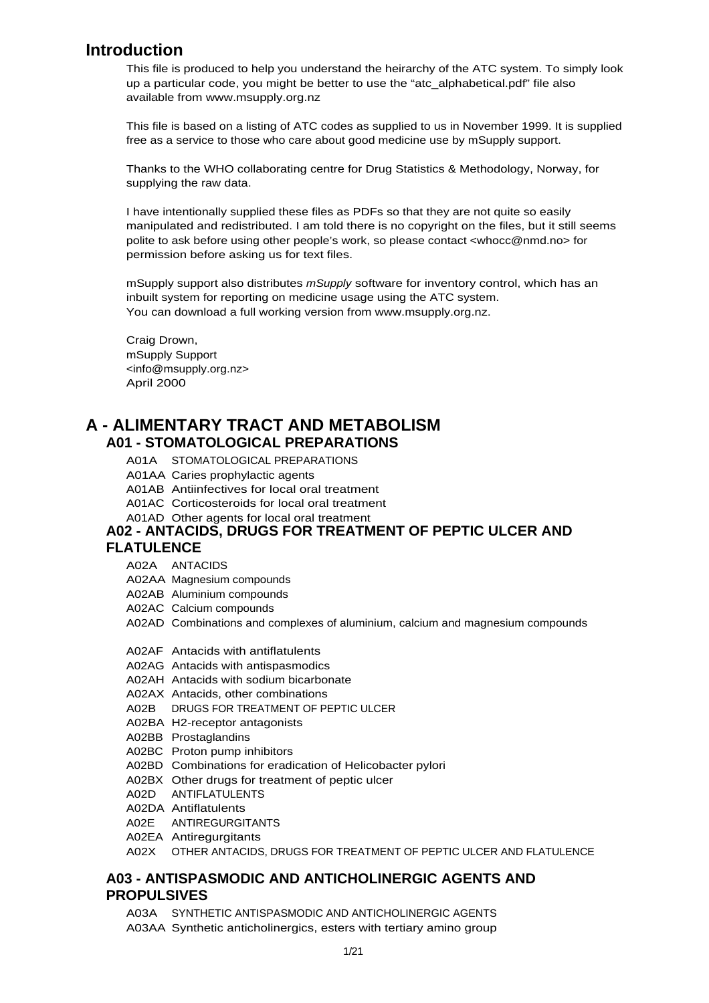## **Introduction**

This file is produced to help you understand the heirarchy of the ATC system. To simply look up a particular code, you might be better to use the "atc\_alphabetical.pdf" file also available from www.msupply.org.nz

This file is based on a listing of ATC codes as supplied to us in November 1999. It is supplied free as a service to those who care about good medicine use by mSupply support.

Thanks to the WHO collaborating centre for Drug Statistics & Methodology, Norway, for supplying the raw data.

I have intentionally supplied these files as PDFs so that they are not quite so easily manipulated and redistributed. I am told there is no copyright on the files, but it still seems polite to ask before using other people's work, so please contact [<whocc@nmd.no>](mailto:whocc@nmd.no) for permission before asking us for text files.

mSupply support also distributes mSupply software for inventory control, which has an inbuilt system for reporting on medicine usage using the ATC system. You can download a full working version from www.msupply.org.nz.

Craig Drown, mSupply Support [<info@msupply.org.nz>](mailto:info@msupply.org.nz) April 2000

## **A - ALIMENTARY TRACT AND METABOLISM A01 - STOMATOLOGICAL PREPARATIONS**

- A01A STOMATOLOGICAL PREPARATIONS
- A01AA Caries prophylactic agents
- A01AB Antiinfectives for local oral treatment
- A01AC Corticosteroids for local oral treatment
- A01AD Other agents for local oral treatment

#### **A02 - ANTACIDS, DRUGS FOR TREATMENT OF PEPTIC ULCER AND FLATULENCE**

- A02A ANTACIDS
- A02AA Magnesium compounds
- A02AB Aluminium compounds
- A02AC Calcium compounds
- A02AD Combinations and complexes of aluminium, calcium and magnesium compounds
- A02AF Antacids with antiflatulents
- A02AG Antacids with antispasmodics
- A02AH Antacids with sodium bicarbonate
- A02AX Antacids, other combinations
- A02B DRUGS FOR TREATMENT OF PEPTIC ULCER
- A02BA H2-receptor antagonists
- A02BB Prostaglandins
- A02BC Proton pump inhibitors
- A02BD Combinations for eradication of Helicobacter pylori
- A02BX Other drugs for treatment of peptic ulcer
- A02D ANTIFLATULENTS
- A02DA Antiflatulents
- A02E ANTIREGURGITANTS
- A02EA Antiregurgitants
- A02X OTHER ANTACIDS, DRUGS FOR TREATMENT OF PEPTIC ULCER AND FLATULENCE

### **A03 - ANTISPASMODIC AND ANTICHOLINERGIC AGENTS AND PROPULSIVES**

A03A SYNTHETIC ANTISPASMODIC AND ANTICHOLINERGIC AGENTS A03AA Synthetic anticholinergics, esters with tertiary amino group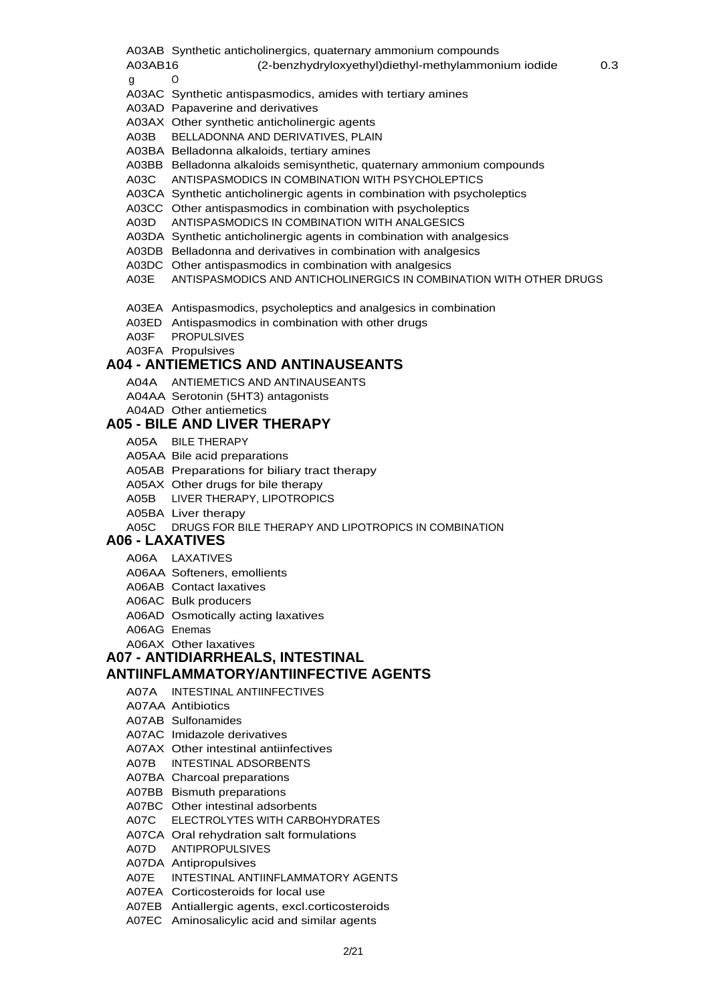A03AB Synthetic anticholinergics, quaternary ammonium compounds

A03AB16 (2-benzhydryloxyethyl)diethyl-methylammonium iodide 0.3

g O

- A03AC Synthetic antispasmodics, amides with tertiary amines
- A03AD Papaverine and derivatives
- A03AX Other synthetic anticholinergic agents
- A03B BELLADONNA AND DERIVATIVES, PLAIN
- A03BA Belladonna alkaloids, tertiary amines
- A03BB Belladonna alkaloids semisynthetic, quaternary ammonium compounds
- A03C ANTISPASMODICS IN COMBINATION WITH PSYCHOLEPTICS
- A03CA Synthetic anticholinergic agents in combination with psycholeptics
- A03CC Other antispasmodics in combination with psycholeptics
- A03D ANTISPASMODICS IN COMBINATION WITH ANALGESICS
- A03DA Synthetic anticholinergic agents in combination with analgesics
- A03DB Belladonna and derivatives in combination with analgesics
- A03DC Other antispasmodics in combination with analgesics
- A03E ANTISPASMODICS AND ANTICHOLINERGICS IN COMBINATION WITH OTHER DRUGS
- A03EA Antispasmodics, psycholeptics and analgesics in combination
- A03ED Antispasmodics in combination with other drugs
- A03F PROPULSIVES
- A03FA Propulsives

## **A04 - ANTIEMETICS AND ANTINAUSEANTS**

- A04A ANTIEMETICS AND ANTINAUSEANTS
- A04AA Serotonin (5HT3) antagonists
- A04AD Other antiemetics

### **A05 - BILE AND LIVER THERAPY**

- A05A BILE THERAPY
- A05AA Bile acid preparations
- A05AB Preparations for biliary tract therapy
- A05AX Other drugs for bile therapy
- A05B LIVER THERAPY, LIPOTROPICS
- A05BA Liver therapy
- A05C DRUGS FOR BILE THERAPY AND LIPOTROPICS IN COMBINATION

### **A06 - LAXATIVES**

- A06A LAXATIVES
- A06AA Softeners, emollients
- A06AB Contact laxatives
- A06AC Bulk producers
- A06AD Osmotically acting laxatives
- A06AG Enemas
- A06AX Other laxatives

#### **A07 - ANTIDIARRHEALS, INTESTINAL ANTIINFLAMMATORY/ANTIINFECTIVE AGENTS**

- A07A INTESTINAL ANTIINFECTIVES
- A07AA Antibiotics
- A07AB Sulfonamides
- A07AC Imidazole derivatives
- A07AX Other intestinal antiinfectives
- A07B INTESTINAL ADSORBENTS
- A07BA Charcoal preparations
- A07BB Bismuth preparations
- A07BC Other intestinal adsorbents
- A07C ELECTROLYTES WITH CARBOHYDRATES
- A07CA Oral rehydration salt formulations
- A07D ANTIPROPULSIVES
- A07DA Antipropulsives
- A07E INTESTINAL ANTIINFLAMMATORY AGENTS
- A07EA Corticosteroids for local use
- A07EB Antiallergic agents, excl.corticosteroids
- A07EC Aminosalicylic acid and similar agents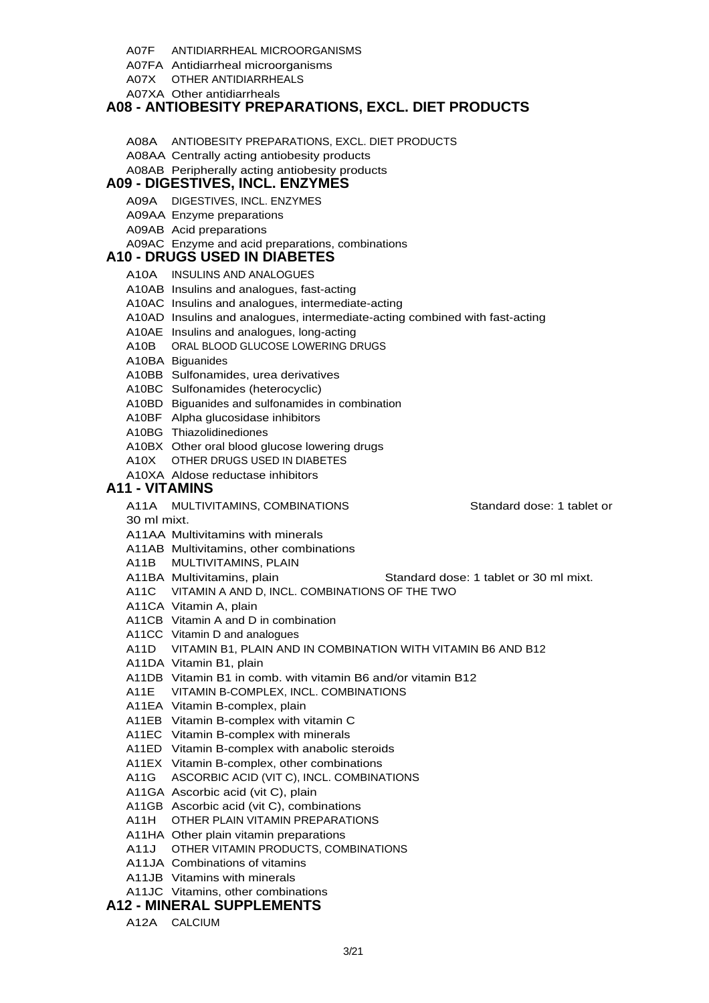- A07F ANTIDIARRHEAL MICROORGANISMS
- A07FA Antidiarrheal microorganisms
- A07X OTHER ANTIDIARRHEALS
- A07XA Other antidiarrheals

### **A08 - ANTIOBESITY PREPARATIONS, EXCL. DIET PRODUCTS**

- A08A ANTIOBESITY PREPARATIONS, EXCL. DIET PRODUCTS
- A08AA Centrally acting antiobesity products
- A08AB Peripherally acting antiobesity products

### **A09 - DIGESTIVES, INCL. ENZYMES**

- A09A DIGESTIVES, INCL. ENZYMES
- A09AA Enzyme preparations
- A09AB Acid preparations
- A09AC Enzyme and acid preparations, combinations

### **A10 - DRUGS USED IN DIABETES**

- A10A INSULINS AND ANALOGUES
- A10AB Insulins and analogues, fast-acting
- A10AC Insulins and analogues, intermediate-acting
- A10AD Insulins and analogues, intermediate-acting combined with fast-acting
- A10AE Insulins and analogues, long-acting
- A10B ORAL BLOOD GLUCOSE LOWERING DRUGS
- A10BA Biguanides
- A10BB Sulfonamides, urea derivatives
- A10BC Sulfonamides (heterocyclic)
- A10BD Biguanides and sulfonamides in combination
- A10BF Alpha glucosidase inhibitors
- A10BG Thiazolidinediones
- A10BX Other oral blood glucose lowering drugs
- A10X OTHER DRUGS USED IN DIABETES
- A10XA Aldose reductase inhibitors

### **A11 - VITAMINS**

- A11A MULTIVITAMINS, COMBINATIONS Standard dose: 1 tablet or
- 30 ml mixt.
- A11AA Multivitamins with minerals
- A11AB Multivitamins, other combinations
- A11B MULTIVITAMINS, PLAIN
- A11BA Multivitamins, plain Standard dose: 1 tablet or 30 ml mixt.
- A11C VITAMIN A AND D, INCL. COMBINATIONS OF THE TWO
- A11CA Vitamin A, plain
- A11CB Vitamin A and D in combination
- A11CC Vitamin D and analogues
- A11D VITAMIN B1, PLAIN AND IN COMBINATION WITH VITAMIN B6 AND B12
- A11DA Vitamin B1, plain
- A11DB Vitamin B1 in comb. with vitamin B6 and/or vitamin B12
- A11E VITAMIN B-COMPLEX, INCL. COMBINATIONS
- A11EA Vitamin B-complex, plain
- A11EB Vitamin B-complex with vitamin C
- A11EC Vitamin B-complex with minerals
- A11ED Vitamin B-complex with anabolic steroids
- A11EX Vitamin B-complex, other combinations
- A11G ASCORBIC ACID (VIT C), INCL. COMBINATIONS
- A11GA Ascorbic acid (vit C), plain
- A11GB Ascorbic acid (vit C), combinations
- A11H OTHER PLAIN VITAMIN PREPARATIONS
- A11HA Other plain vitamin preparations
- A11J OTHER VITAMIN PRODUCTS, COMBINATIONS
- A11JA Combinations of vitamins
- A11JB Vitamins with minerals
- A11JC Vitamins, other combinations

### **A12 - MINERAL SUPPLEMENTS**

A12A CALCIUM

- 
-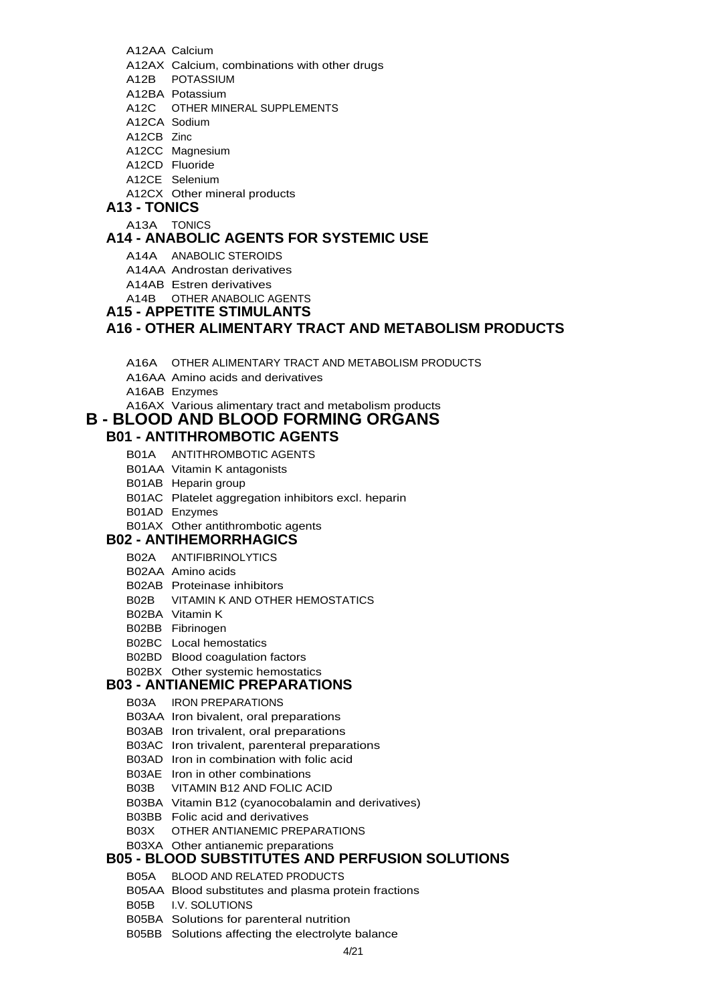- A12AA Calcium
- A12AX Calcium, combinations with other drugs
- A12B POTASSIUM
- A12BA Potassium
- A12C OTHER MINERAL SUPPLEMENTS
- A12CA Sodium
- A12CB Zinc
- A12CC Magnesium
- A12CD Fluoride
- A12CE Selenium
- A12CX Other mineral products

### **A13 - TONICS**

A13A TONICS

## **A14 - ANABOLIC AGENTS FOR SYSTEMIC USE**

- A14A ANABOLIC STEROIDS
- A14AA Androstan derivatives
- A14AB Estren derivatives
- A14B OTHER ANABOLIC AGENTS
- **A15 APPETITE STIMULANTS**

### **A16 - OTHER ALIMENTARY TRACT AND METABOLISM PRODUCTS**

- A16A OTHER ALIMENTARY TRACT AND METABOLISM PRODUCTS
- A16AA Amino acids and derivatives
- A16AB Enzymes

A16AX Various alimentary tract and metabolism products

## **B - BLOOD AND BLOOD FORMING ORGANS**

## **B01 - ANTITHROMBOTIC AGENTS**

- B01A ANTITHROMBOTIC AGENTS
- B01AA Vitamin K antagonists
- B01AB Heparin group
- B01AC Platelet aggregation inhibitors excl. heparin
- B01AD Enzymes
- B01AX Other antithrombotic agents

### **B02 - ANTIHEMORRHAGICS**

- B02A ANTIFIBRINOLYTICS
- B02AA Amino acids
- B02AB Proteinase inhibitors
- B02B VITAMIN K AND OTHER HEMOSTATICS
- B02BA Vitamin K
- B02BB Fibrinogen
- B02BC Local hemostatics
- B02BD Blood coagulation factors

## B02BX Other systemic hemostatics

### **B03 - ANTIANEMIC PREPARATIONS**

- B03A IRON PREPARATIONS
- B03AA Iron bivalent, oral preparations
- B03AB Iron trivalent, oral preparations
- B03AC Iron trivalent, parenteral preparations
- B03AD Iron in combination with folic acid
- B03AE Iron in other combinations
- B03B VITAMIN B12 AND FOLIC ACID
- B03BA Vitamin B12 (cyanocobalamin and derivatives)
- B03BB Folic acid and derivatives
- B03X OTHER ANTIANEMIC PREPARATIONS
- B03XA Other antianemic preparations

## **B05 - BLOOD SUBSTITUTES AND PERFUSION SOLUTIONS**

- B05A BLOOD AND RELATED PRODUCTS
- B05AA Blood substitutes and plasma protein fractions
- B05B I.V. SOLUTIONS
- B05BA Solutions for parenteral nutrition
- B05BB Solutions affecting the electrolyte balance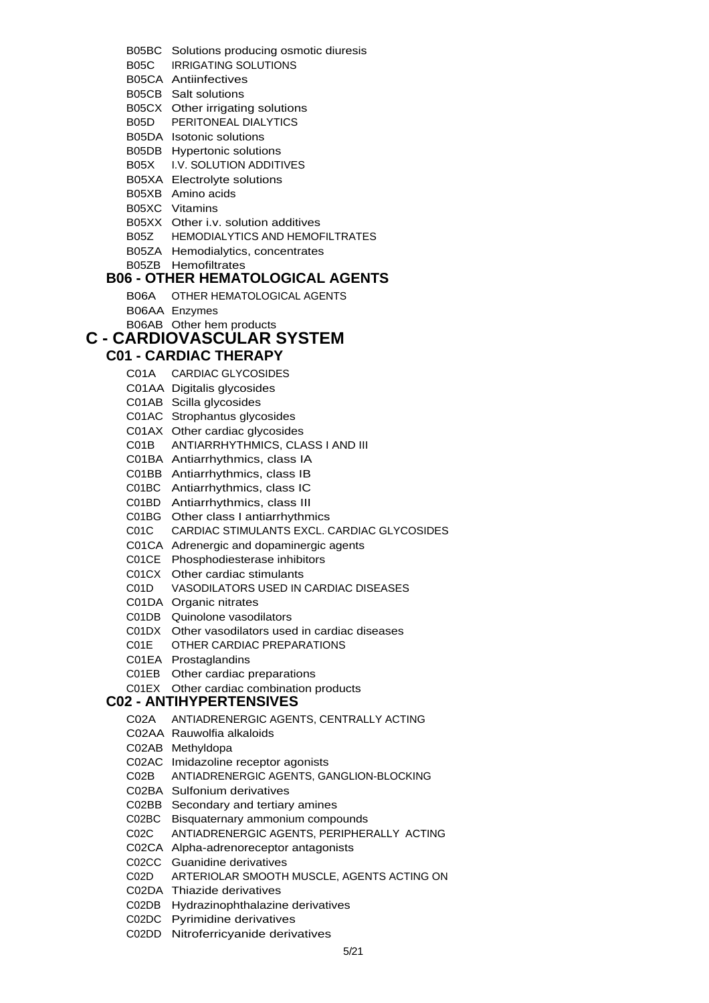B05BC Solutions producing osmotic diuresis

- B05C IRRIGATING SOLUTIONS
- B05CA Antiinfectives
- B05CB Salt solutions
- B05CX Other irrigating solutions
- B05D PERITONEAL DIALYTICS
- B05DA Isotonic solutions
- B05DB Hypertonic solutions
- B05X I.V. SOLUTION ADDITIVES
- B05XA Electrolyte solutions
- B05XB Amino acids
- B05XC Vitamins
- B05XX Other i.v. solution additives
- B05Z HEMODIALYTICS AND HEMOFILTRATES
- B05ZA Hemodialytics, concentrates
- B05ZB Hemofiltrates

### **B06 - OTHER HEMATOLOGICAL AGENTS**

- B06A OTHER HEMATOLOGICAL AGENTS
- B06AA Enzymes
- B06AB Other hem products

## **C - CARDIOVASCULAR SYSTEM**

### **C01 - CARDIAC THERAPY**

- C01A CARDIAC GLYCOSIDES
- C01AA Digitalis glycosides
- C01AB Scilla glycosides
- C01AC Strophantus glycosides
- C01AX Other cardiac glycosides
- C01B ANTIARRHYTHMICS, CLASS I AND III
- C01BA Antiarrhythmics, class IA
- C01BB Antiarrhythmics, class IB
- C01BC Antiarrhythmics, class IC
- C01BD Antiarrhythmics, class III
- C01BG Other class I antiarrhythmics
- C01C CARDIAC STIMULANTS EXCL. CARDIAC GLYCOSIDES
- C01CA Adrenergic and dopaminergic agents
- C01CE Phosphodiesterase inhibitors
- C01CX Other cardiac stimulants
- C01D VASODILATORS USED IN CARDIAC DISEASES
- C01DA Organic nitrates
- C01DB Quinolone vasodilators
- C01DX Other vasodilators used in cardiac diseases
- C01E OTHER CARDIAC PREPARATIONS
- C01EA Prostaglandins
- C01EB Other cardiac preparations
- C01EX Other cardiac combination products

### **C02 - ANTIHYPERTENSIVES**

- C02A ANTIADRENERGIC AGENTS, CENTRALLY ACTING
- C02AA Rauwolfia alkaloids
- C02AB Methyldopa
- C02AC Imidazoline receptor agonists
- C02B ANTIADRENERGIC AGENTS, GANGLION-BLOCKING
- C02BA Sulfonium derivatives
- C02BB Secondary and tertiary amines
- C02BC Bisquaternary ammonium compounds
- C02C ANTIADRENERGIC AGENTS, PERIPHERALLY ACTING
- C02CA Alpha-adrenoreceptor antagonists
- C02CC Guanidine derivatives
- C02D ARTERIOLAR SMOOTH MUSCLE, AGENTS ACTING ON
- C02DA Thiazide derivatives
- C02DB Hydrazinophthalazine derivatives
- C02DC Pyrimidine derivatives
- C02DD Nitroferricyanide derivatives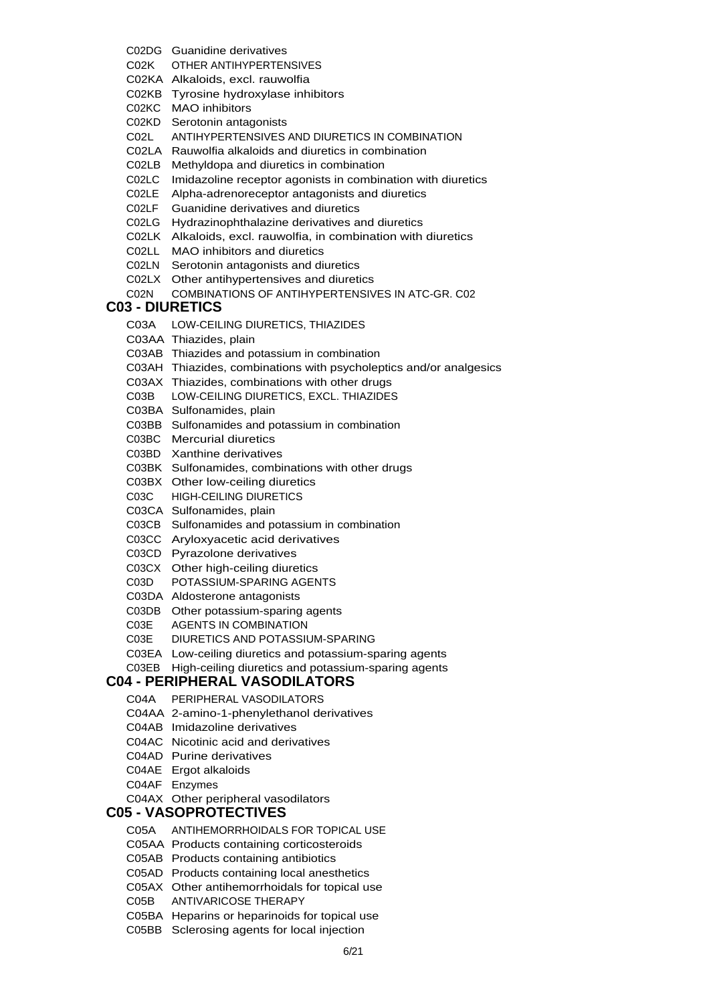- C02DG Guanidine derivatives
- C02K OTHER ANTIHYPERTENSIVES
- C02KA Alkaloids, excl. rauwolfia
- C02KB Tyrosine hydroxylase inhibitors
- C02KC MAO inhibitors
- C02KD Serotonin antagonists
- C02L ANTIHYPERTENSIVES AND DIURETICS IN COMBINATION
- C02LA Rauwolfia alkaloids and diuretics in combination
- C02LB Methyldopa and diuretics in combination
- C02LC Imidazoline receptor agonists in combination with diuretics
- C02LE Alpha-adrenoreceptor antagonists and diuretics
- C02LF Guanidine derivatives and diuretics
- C02LG Hydrazinophthalazine derivatives and diuretics
- C02LK Alkaloids, excl. rauwolfia, in combination with diuretics
- C02LL MAO inhibitors and diuretics
- C02LN Serotonin antagonists and diuretics
- C02LX Other antihypertensives and diuretics
- C02N COMBINATIONS OF ANTIHYPERTENSIVES IN ATC-GR. C02

#### **C03 - DIURETICS**

- C03A LOW-CEILING DIURETICS, THIAZIDES
- C03AA Thiazides, plain
- C03AB Thiazides and potassium in combination
- C03AH Thiazides, combinations with psycholeptics and/or analgesics
- C03AX Thiazides, combinations with other drugs
- C03B LOW-CEILING DIURETICS, EXCL. THIAZIDES
- C03BA Sulfonamides, plain
- C03BB Sulfonamides and potassium in combination
- C03BC Mercurial diuretics
- C03BD Xanthine derivatives
- C03BK Sulfonamides, combinations with other drugs
- C03BX Other low-ceiling diuretics
- C03C HIGH-CEILING DIURETICS
- C03CA Sulfonamides, plain
- C03CB Sulfonamides and potassium in combination
- C03CC Aryloxyacetic acid derivatives
- C03CD Pyrazolone derivatives
- C03CX Other high-ceiling diuretics
- C03D POTASSIUM-SPARING AGENTS
- C03DA Aldosterone antagonists
- C03DB Other potassium-sparing agents
- C03E AGENTS IN COMBINATION
- C03E DIURETICS AND POTASSIUM-SPARING
- C03EA Low-ceiling diuretics and potassium-sparing agents
- C03EB High-ceiling diuretics and potassium-sparing agents

### **C04 - PERIPHERAL VASODILATORS**

- C04A PERIPHERAL VASODILATORS
- C04AA 2-amino-1-phenylethanol derivatives
- C04AB Imidazoline derivatives
- C04AC Nicotinic acid and derivatives
- C04AD Purine derivatives
- C04AE Ergot alkaloids
- C04AF Enzymes
- C04AX Other peripheral vasodilators

#### **C05 - VASOPROTECTIVES**

- C05A ANTIHEMORRHOIDALS FOR TOPICAL USE
- C05AA Products containing corticosteroids
- C05AB Products containing antibiotics
- C05AD Products containing local anesthetics
- C05AX Other antihemorrhoidals for topical use
- C05B ANTIVARICOSE THERAPY
- C05BA Heparins or heparinoids for topical use
- C05BB Sclerosing agents for local injection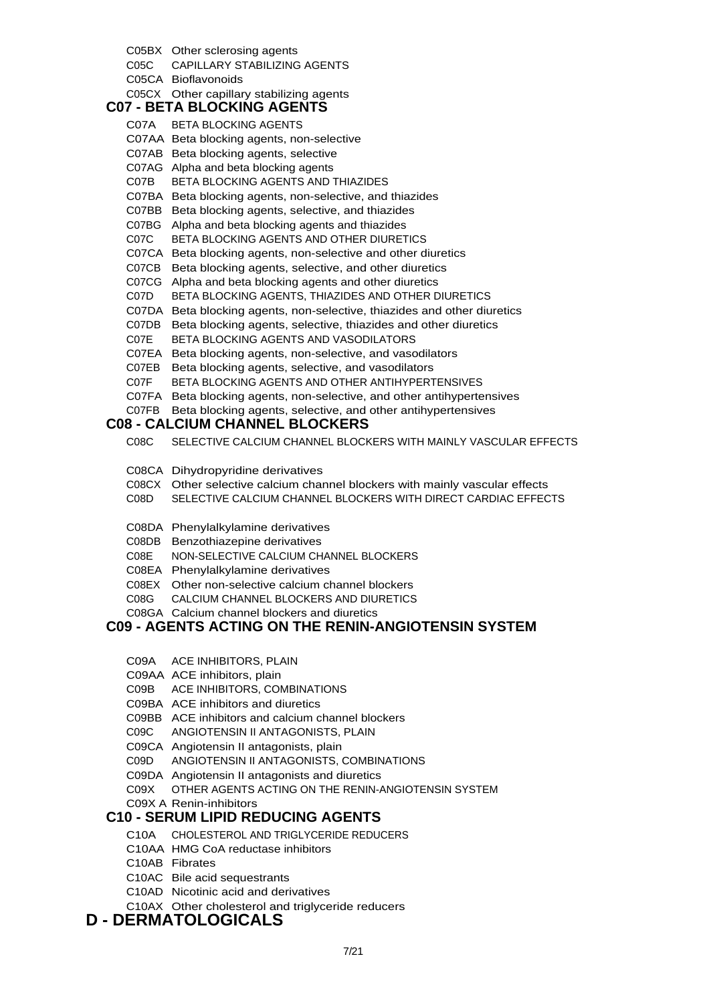#### 7/21

## **D - DERMATOLOGICALS**

- C10AX Other cholesterol and triglyceride reducers
- 
- C10AD Nicotinic acid and derivatives
- 
- 

C05BX Other sclerosing agents

**C07 - BETA BLOCKING AGENTS** C07A BETA BLOCKING AGENTS

C05CA Bioflavonoids

C05C CAPILLARY STABILIZING AGENTS

C05CX Other capillary stabilizing agents

C07AA Beta blocking agents, non-selective C07AB Beta blocking agents, selective C07AG Alpha and beta blocking agents

C07B BETA BLOCKING AGENTS AND THIAZIDES

C07BA Beta blocking agents, non-selective, and thiazides C07BB Beta blocking agents, selective, and thiazides C07BG Alpha and beta blocking agents and thiazides C07C BETA BLOCKING AGENTS AND OTHER DIURETICS

C07E BETA BLOCKING AGENTS AND VASODILATORS

C08E NON-SELECTIVE CALCIUM CHANNEL BLOCKERS

C08EX Other non-selective calcium channel blockers C08G CALCIUM CHANNEL BLOCKERS AND DIURETICS

C08GA Calcium channel blockers and diuretics

**C08 - CALCIUM CHANNEL BLOCKERS**

C08CA Dihydropyridine derivatives

C08DA Phenylalkylamine derivatives C08DB Benzothiazepine derivatives

C08EA Phenylalkylamine derivatives

C09A ACE INHIBITORS, PLAIN C09AA ACE inhibitors, plain

C09B ACE INHIBITORS, COMBINATIONS C09BA ACE inhibitors and diuretics

C07EA Beta blocking agents, non-selective, and vasodilators C07EB Beta blocking agents, selective, and vasodilators

C07F BETA BLOCKING AGENTS AND OTHER ANTIHYPERTENSIVES C07FA Beta blocking agents, non-selective, and other antihypertensives C07FB Beta blocking agents, selective, and other antihypertensives

C08C SELECTIVE CALCIUM CHANNEL BLOCKERS WITH MAINLY VASCULAR EFFECTS

C08CX Other selective calcium channel blockers with mainly vascular effects C08D SELECTIVE CALCIUM CHANNEL BLOCKERS WITH DIRECT CARDIAC EFFECTS

**C09 - AGENTS ACTING ON THE RENIN-ANGIOTENSIN SYSTEM**

C09X OTHER AGENTS ACTING ON THE RENIN-ANGIOTENSIN SYSTEM

C07CA Beta blocking agents, non-selective and other diuretics C07CB Beta blocking agents, selective, and other diuretics C07CG Alpha and beta blocking agents and other diuretics

C07D BETA BLOCKING AGENTS, THIAZIDES AND OTHER DIURETICS C07DA Beta blocking agents, non-selective, thiazides and other diuretics C07DB Beta blocking agents, selective, thiazides and other diuretics

C10AC Bile acid sequestrants

C09X A Renin-inhibitors

- 
- C10AB Fibrates
- 
- C10AA HMG CoA reductase inhibitors
- 

C10A CHOLESTEROL AND TRIGLYCERIDE REDUCERS

C09BB ACE inhibitors and calcium channel blockers C09C ANGIOTENSIN II ANTAGONISTS, PLAIN C09CA Angiotensin II antagonists, plain

C09D ANGIOTENSIN II ANTAGONISTS, COMBINATIONS

## **C10 - SERUM LIPID REDUCING AGENTS**

- 
- 
- 

C09DA Angiotensin II antagonists and diuretics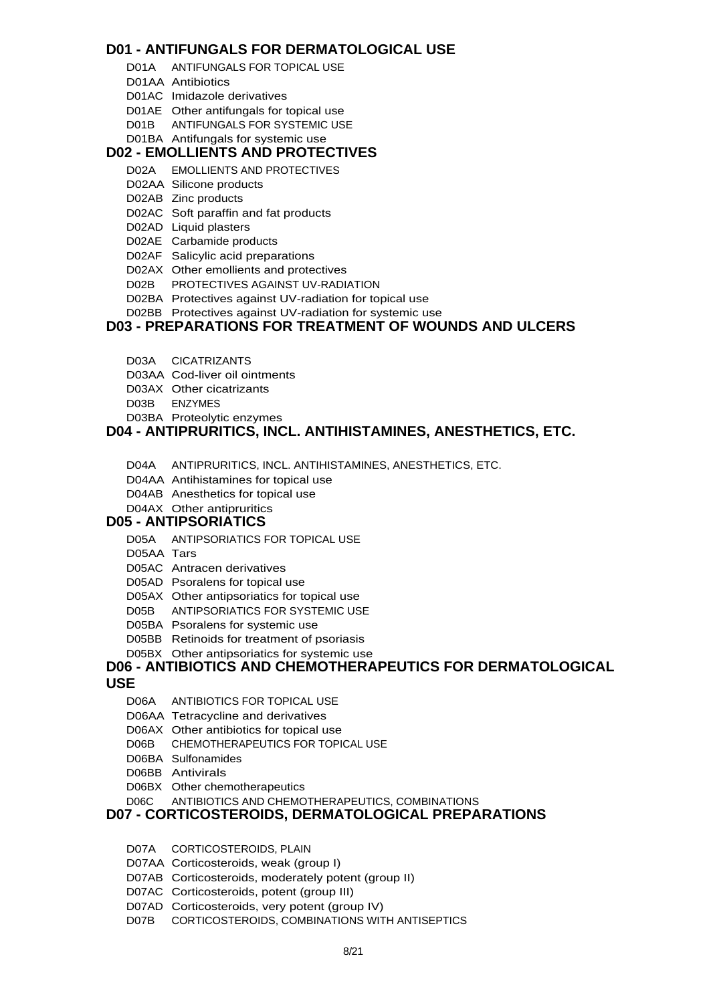### **D01 - ANTIFUNGALS FOR DERMATOLOGICAL USE**

- D01A ANTIFUNGALS FOR TOPICAL USE
- D01AA Antibiotics
- D01AC Imidazole derivatives
- D01AE Other antifungals for topical use
- D01B ANTIFUNGALS FOR SYSTEMIC USE
- D01BA Antifungals for systemic use

## **D02 - EMOLLIENTS AND PROTECTIVES**

- D02A EMOLLIENTS AND PROTECTIVES
- D02AA Silicone products
- D02AB Zinc products
- D02AC Soft paraffin and fat products
- D02AD Liquid plasters
- D02AE Carbamide products
- D02AF Salicylic acid preparations
- D02AX Other emollients and protectives
- D02B PROTECTIVES AGAINST UV-RADIATION
- D02BA Protectives against UV-radiation for topical use
- D02BB Protectives against UV-radiation for systemic use

### **D03 - PREPARATIONS FOR TREATMENT OF WOUNDS AND ULCERS**

- D03A CICATRIZANTS
- D03AA Cod-liver oil ointments
- D03AX Other cicatrizants
- D03B ENZYMES
- D03BA Proteolytic enzymes

## **D04 - ANTIPRURITICS, INCL. ANTIHISTAMINES, ANESTHETICS, ETC.**

- D04A ANTIPRURITICS, INCL. ANTIHISTAMINES, ANESTHETICS, ETC.
- D04AA Antihistamines for topical use
- D04AB Anesthetics for topical use
- D04AX Other antipruritics

#### **D05 - ANTIPSORIATICS**

- D05A ANTIPSORIATICS FOR TOPICAL USE
- D05AA Tars
- D05AC Antracen derivatives
- D05AD Psoralens for topical use
- D05AX Other antipsoriatics for topical use
- D05B ANTIPSORIATICS FOR SYSTEMIC USE
- D05BA Psoralens for systemic use
- D05BB Retinoids for treatment of psoriasis
- D05BX Other antipsoriatics for systemic use

# **D06 - ANTIBIOTICS AND CHEMOTHERAPEUTICS FOR DERMATOLOGICAL**

### **USE**

- D06A ANTIBIOTICS FOR TOPICAL USE
- D06AA Tetracycline and derivatives
- D06AX Other antibiotics for topical use
- D06B CHEMOTHERAPEUTICS FOR TOPICAL USE
- D06BA Sulfonamides
- D06BB Antivirals
- 
- D06BX Other chemotherapeutics
- D06C ANTIBIOTICS AND CHEMOTHERAPEUTICS, COMBINATIONS

### **D07 - CORTICOSTEROIDS, DERMATOLOGICAL PREPARATIONS**

- D07A CORTICOSTEROIDS, PLAIN
- D07AA Corticosteroids, weak (group I)
- D07AB Corticosteroids, moderately potent (group II)
- D07AC Corticosteroids, potent (group III)
- D07AD Corticosteroids, very potent (group IV)
- D07B CORTICOSTEROIDS, COMBINATIONS WITH ANTISEPTICS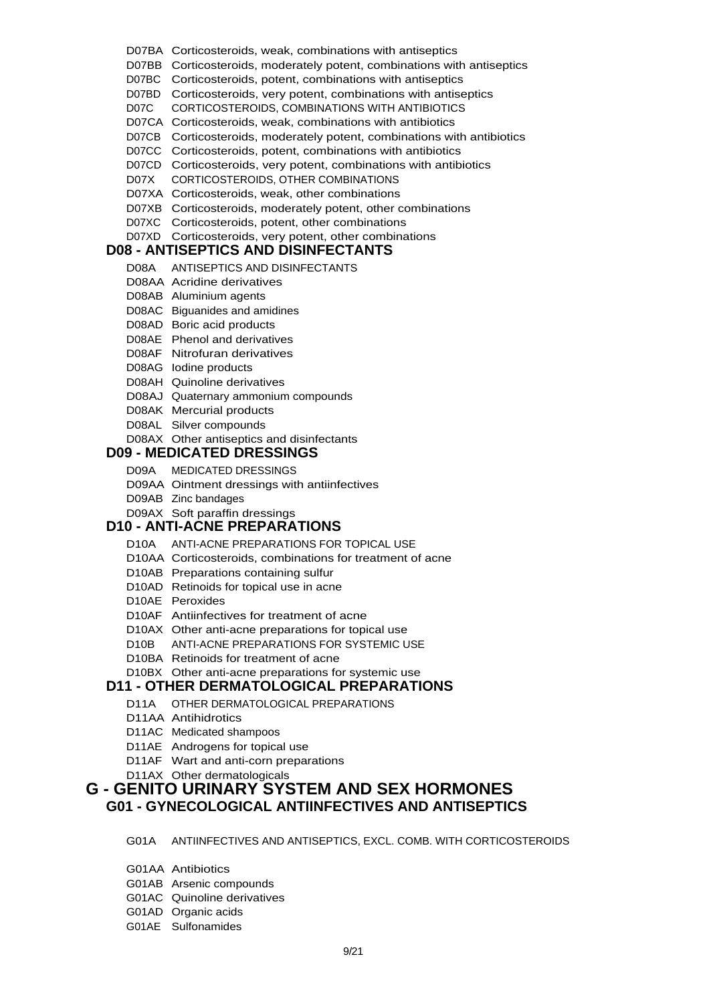- D07BA Corticosteroids, weak, combinations with antiseptics
- D07BB Corticosteroids, moderately potent, combinations with antiseptics
- D07BC Corticosteroids, potent, combinations with antiseptics
- D07BD Corticosteroids, very potent, combinations with antiseptics
- D07C CORTICOSTEROIDS, COMBINATIONS WITH ANTIBIOTICS
- D07CA Corticosteroids, weak, combinations with antibiotics
- D07CB Corticosteroids, moderately potent, combinations with antibiotics
- D07CC Corticosteroids, potent, combinations with antibiotics
- D07CD Corticosteroids, very potent, combinations with antibiotics
- D07X CORTICOSTEROIDS, OTHER COMBINATIONS
- D07XA Corticosteroids, weak, other combinations
- D07XB Corticosteroids, moderately potent, other combinations
- D07XC Corticosteroids, potent, other combinations

#### D07XD Corticosteroids, very potent, other combinations

#### **D08 - ANTISEPTICS AND DISINFECTANTS**

- D08A ANTISEPTICS AND DISINFECTANTS
- D08AA Acridine derivatives
- D08AB Aluminium agents
- D08AC Biguanides and amidines
- D08AD Boric acid products
- D08AE Phenol and derivatives
- D08AF Nitrofuran derivatives
- D08AG Iodine products
- D08AH Quinoline derivatives
- D08AJ Quaternary ammonium compounds
- D08AK Mercurial products
- D08AL Silver compounds
- D08AX Other antiseptics and disinfectants

#### **D09 - MEDICATED DRESSINGS**

- D09A MEDICATED DRESSINGS
- D09AA Ointment dressings with antiinfectives
- D09AB Zinc bandages
- D09AX Soft paraffin dressings

## **D10 - ANTI-ACNE PREPARATIONS**

- D10A ANTI-ACNE PREPARATIONS FOR TOPICAL USE
- D10AA Corticosteroids, combinations for treatment of acne
- D10AB Preparations containing sulfur
- D10AD Retinoids for topical use in acne
- D10AE Peroxides
- D10AF Antiinfectives for treatment of acne
- D10AX Other anti-acne preparations for topical use
- D10B ANTI-ACNE PREPARATIONS FOR SYSTEMIC USE
- D10BA Retinoids for treatment of acne

#### D10BX Other anti-acne preparations for systemic use **D11 - OTHER DERMATOLOGICAL PREPARATIONS**

- D11A OTHER DERMATOLOGICAL PREPARATIONS
- D11AA Antihidrotics
- D11AC Medicated shampoos
- D11AE Androgens for topical use
- D11AF Wart and anti-corn preparations
- D11AX Other dermatologicals

#### **G - GENITO URINARY SYSTEM AND SEX HORMONES G01 - GYNECOLOGICAL ANTIINFECTIVES AND ANTISEPTICS**

G01A ANTIINFECTIVES AND ANTISEPTICS, EXCL. COMB. WITH CORTICOSTEROIDS

- G01AA Antibiotics
- G01AB Arsenic compounds
- G01AC Quinoline derivatives
- G01AD Organic acids
- G01AE Sulfonamides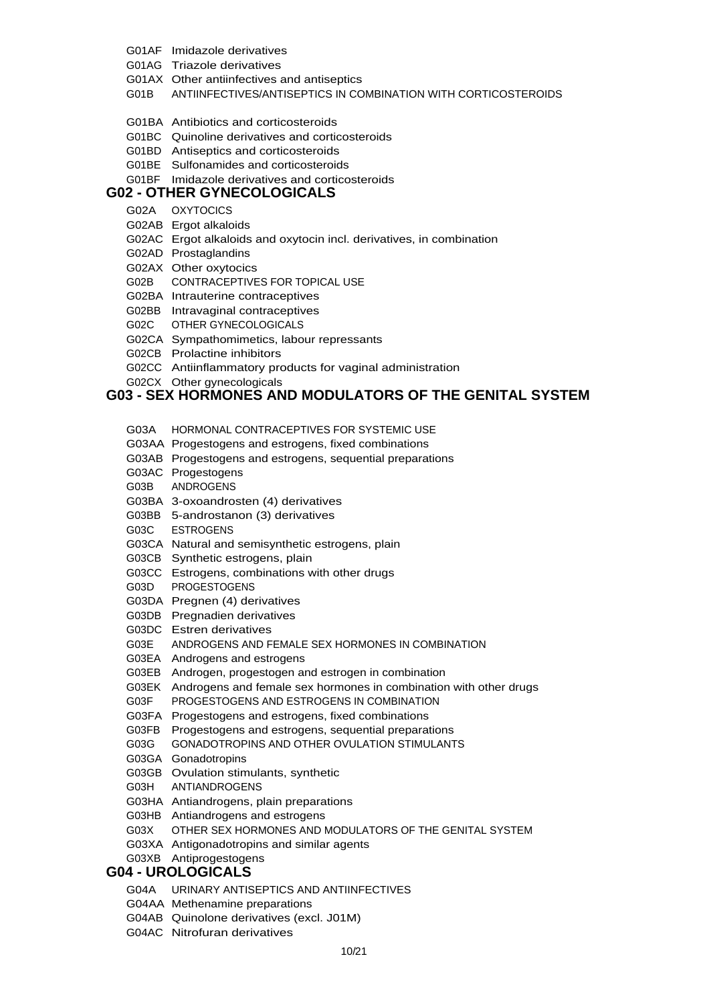- G01AF Imidazole derivatives
- G01AG Triazole derivatives
- G01AX Other antiinfectives and antiseptics
- G01B ANTIINFECTIVES/ANTISEPTICS IN COMBINATION WITH CORTICOSTEROIDS
- G01BA Antibiotics and corticosteroids
- G01BC Quinoline derivatives and corticosteroids
- G01BD Antiseptics and corticosteroids
- G01BE Sulfonamides and corticosteroids
- G01BF Imidazole derivatives and corticosteroids

### **G02 - OTHER GYNECOLOGICALS**

- G02A OXYTOCICS
- G02AB Ergot alkaloids
- G02AC Ergot alkaloids and oxytocin incl. derivatives, in combination
- G02AD Prostaglandins
- G02AX Other oxytocics
- G02B CONTRACEPTIVES FOR TOPICAL USE
- G02BA Intrauterine contraceptives
- 
- G02BB Intravaginal contraceptives
- G02C OTHER GYNECOLOGICALS
- G02CA Sympathomimetics, labour repressants
- 
- 
- 
- 
- 
- 
- 
- 
- G02CB Prolactine inhibitors
- G02CC Antiinflammatory products for vaginal administration
- G02CX Other gynecologicals

## **G03 - SEX HORMONES AND MODULATORS OF THE GENITAL SYSTEM**

- 
- G03A HORMONAL CONTRACEPTIVES FOR SYSTEMIC USE
- G03AA Progestogens and estrogens, fixed combinations
- G03AB Progestogens and estrogens, sequential preparations

G03E ANDROGENS AND FEMALE SEX HORMONES IN COMBINATION

G03EK Androgens and female sex hormones in combination with other drugs

G03X OTHER SEX HORMONES AND MODULATORS OF THE GENITAL SYSTEM

10/21

G03EB Androgen, progestogen and estrogen in combination

G03F PROGESTOGENS AND ESTROGENS IN COMBINATION G03FA Progestogens and estrogens, fixed combinations G03FB Progestogens and estrogens, sequential preparations G03G GONADOTROPINS AND OTHER OVULATION STIMULANTS

- 
- G03AC Progestogens
- G03B ANDROGENS
- 
- G03BA 3-oxoandrosten (4) derivatives
- 
- 
- 
- 
- G03BB 5-androstanon (3) derivatives
- 
- G03C ESTROGENS
- G03CA Natural and semisynthetic estrogens, plain
- 
- 
- 
- 
- 
- 
- 
- 
- 

G03D PROGESTOGENS

G03GA Gonadotropins

G03H ANTIANDROGENS

G03XB Antiprogestogens **G04 - UROLOGICALS**

G04AA Methenamine preparations

G04AC Nitrofuran derivatives

- 
- 
- 
- 
- 
- G03CB Synthetic estrogens, plain

G03DA Pregnen (4) derivatives G03DB Pregnadien derivatives G03DC Estren derivatives

G03EA Androgens and estrogens

G03GB Ovulation stimulants, synthetic

G03HA Antiandrogens, plain preparations G03HB Antiandrogens and estrogens

G03XA Antigonadotropins and similar agents

G04AB Quinolone derivatives (excl. J01M)

G04A URINARY ANTISEPTICS AND ANTIINFECTIVES

G03CC Estrogens, combinations with other drugs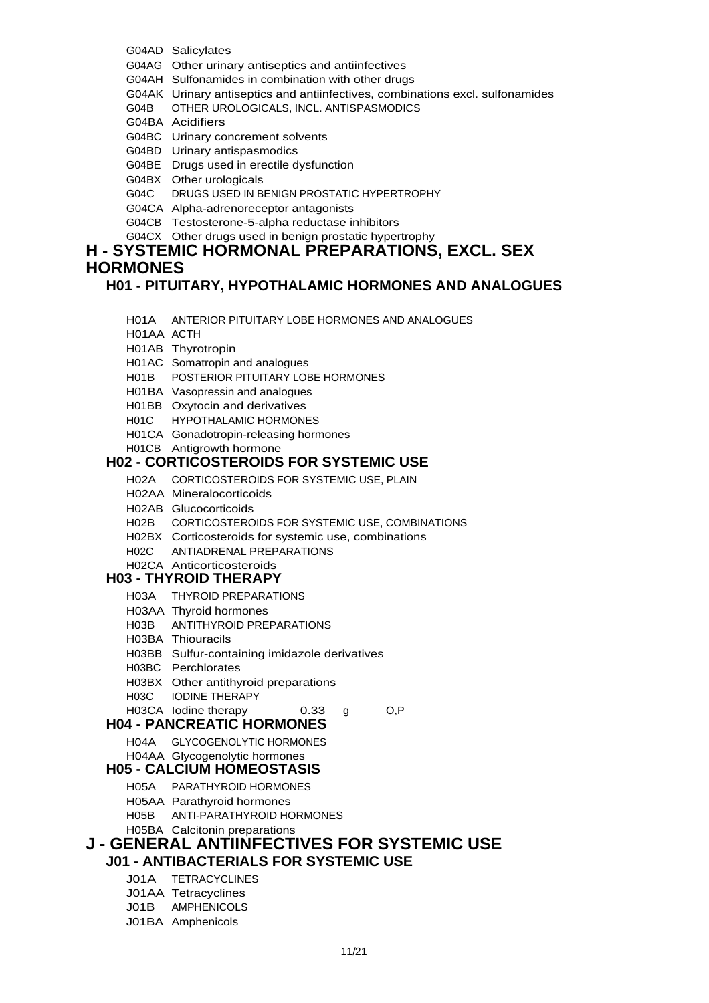- G04AD Salicylates
- G04AG Other urinary antiseptics and antiinfectives
- G04AH Sulfonamides in combination with other drugs
- G04AK Urinary antiseptics and antiinfectives, combinations excl. sulfonamides
- G04B OTHER UROLOGICALS, INCL. ANTISPASMODICS
- G04BA Acidifiers
- G04BC Urinary concrement solvents
- G04BD Urinary antispasmodics
- G04BE Drugs used in erectile dysfunction
- G04BX Other urologicals
- G04C DRUGS USED IN BENIGN PROSTATIC HYPERTROPHY
- G04CA Alpha-adrenoreceptor antagonists
- G04CB Testosterone-5-alpha reductase inhibitors
- G04CX Other drugs used in benign prostatic hypertrophy

### **H - SYSTEMIC HORMONAL PREPARATIONS, EXCL. SEX HORMONES**

## **H01 - PITUITARY, HYPOTHALAMIC HORMONES AND ANALOGUES**

- H01A ANTERIOR PITUITARY LOBE HORMONES AND ANALOGUES
- H01AA ACTH
- H01AB Thyrotropin
- H01AC Somatropin and analogues
- H01B POSTERIOR PITUITARY LOBE HORMONES
- H01BA Vasopressin and analogues
- H01BB Oxytocin and derivatives
- H01C HYPOTHALAMIC HORMONES
- H01CA Gonadotropin-releasing hormones
- H01CB Antigrowth hormone

## **H02 - CORTICOSTEROIDS FOR SYSTEMIC USE**

- H02A CORTICOSTEROIDS FOR SYSTEMIC USE, PLAIN
- H02AA Mineralocorticoids
- H02AB Glucocorticoids
- H02B CORTICOSTEROIDS FOR SYSTEMIC USE, COMBINATIONS
- H02BX Corticosteroids for systemic use, combinations
- H02C ANTIADRENAL PREPARATIONS

## H02CA Anticorticosteroids

## **H03 - THYROID THERAPY**

- H03A THYROID PREPARATIONS
- H03AA Thyroid hormones
- H03B ANTITHYROID PREPARATIONS
- H03BA Thiouracils
- H03BB Sulfur-containing imidazole derivatives
- H03BC Perchlorates
- H03BX Other antithyroid preparations
- H03C IODINE THERAPY
- H03CA lodine therapy 0.33 g O,P

## **H04 - PANCREATIC HORMONES**

- 
- H04A GLYCOGENOLYTIC HORMONES H04AA Glycogenolytic hormones

## **H05 - CALCIUM HOMEOSTASIS**

- H05A PARATHYROID HORMONES
	- H05AA Parathyroid hormones
	-
	- H05B ANTI-PARATHYROID HORMONES
- H05BA Calcitonin preparations **J - GENERAL ANTIINFECTIVES FOR SYSTEMIC USE**

## **J01 - ANTIBACTERIALS FOR SYSTEMIC USE**

- J01A TETRACYCLINES
- J01AA Tetracyclines
- J01B AMPHENICOLS
- J01BA Amphenicols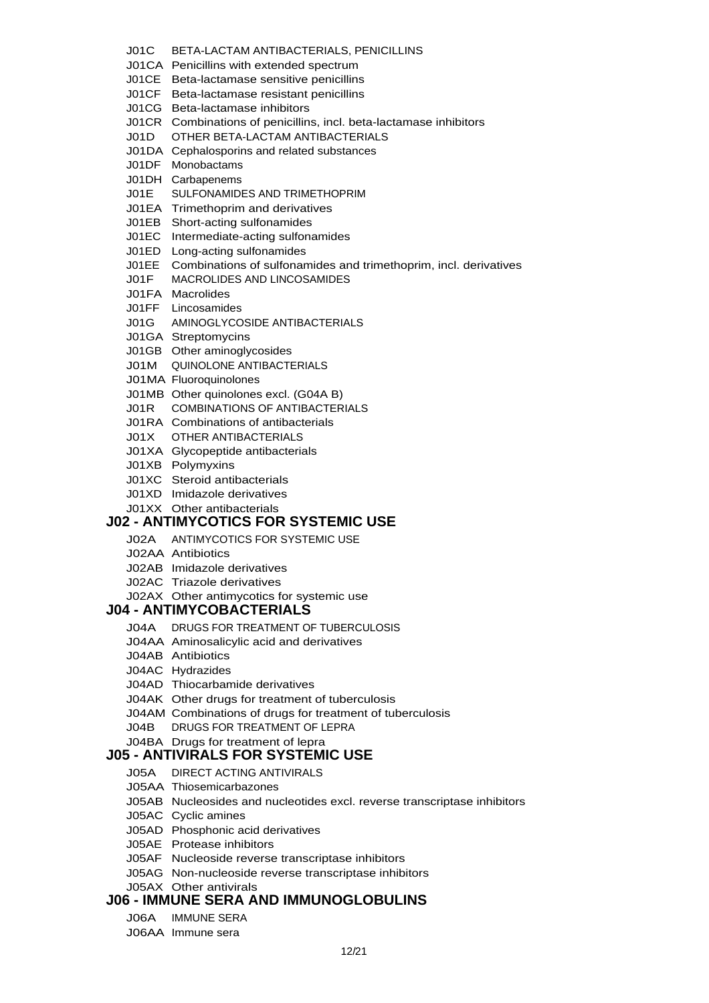- J01C BETA-LACTAM ANTIBACTERIALS, PENICILLINS
- J01CA Penicillins with extended spectrum
- J01CE Beta-lactamase sensitive penicillins
- J01CF Beta-lactamase resistant penicillins
- J01CG Beta-lactamase inhibitors
- J01CR Combinations of penicillins, incl. beta-lactamase inhibitors
- J01D OTHER BETA-LACTAM ANTIBACTERIALS
- J01DA Cephalosporins and related substances
- J01DF Monobactams
- J01DH Carbapenems
- J01E SULFONAMIDES AND TRIMETHOPRIM
- J01EA Trimethoprim and derivatives
- J01EB Short-acting sulfonamides
- J01EC Intermediate-acting sulfonamides
- J01ED Long-acting sulfonamides
- J01EE Combinations of sulfonamides and trimethoprim, incl. derivatives
- J01F MACROLIDES AND LINCOSAMIDES
- J01FA Macrolides
- J01FF Lincosamides
- J01G AMINOGLYCOSIDE ANTIBACTERIALS
- J01GA Streptomycins
- J01GB Other aminoglycosides
- J01M QUINOLONE ANTIBACTERIALS
- J01MA Fluoroquinolones
- J01MB Other quinolones excl. (G04A B)
- J01R COMBINATIONS OF ANTIBACTERIALS
- J01RA Combinations of antibacterials
- J01X OTHER ANTIBACTERIALS
- J01XA Glycopeptide antibacterials
- J01XB Polymyxins
- J01XC Steroid antibacterials
- J01XD Imidazole derivatives
- J01XX Other antibacterials

#### **J02 - ANTIMYCOTICS FOR SYSTEMIC USE**

- J02A ANTIMYCOTICS FOR SYSTEMIC USE
- J02AA Antibiotics
- J02AB Imidazole derivatives
- J02AC Triazole derivatives
- J02AX Other antimycotics for systemic use

#### **J04 - ANTIMYCOBACTERIALS**

- J04A DRUGS FOR TREATMENT OF TUBERCULOSIS
- J04AA Aminosalicylic acid and derivatives
- J04AB Antibiotics
- J04AC Hydrazides
- J04AD Thiocarbamide derivatives
- J04AK Other drugs for treatment of tuberculosis
- J04AM Combinations of drugs for treatment of tuberculosis
- J04B DRUGS FOR TREATMENT OF LEPRA
- J04BA Drugs for treatment of lepra

#### **J05 - ANTIVIRALS FOR SYSTEMIC USE**

- J05A DIRECT ACTING ANTIVIRALS
- J05AA Thiosemicarbazones
- J05AB Nucleosides and nucleotides excl. reverse transcriptase inhibitors
- J05AC Cyclic amines
- J05AD Phosphonic acid derivatives
- J05AE Protease inhibitors
- J05AF Nucleoside reverse transcriptase inhibitors
- J05AG Non-nucleoside reverse transcriptase inhibitors
- J05AX Other antivirals

#### **J06 - IMMUNE SERA AND IMMUNOGLOBULINS**

- J06A IMMUNE SERA
- J06AA Immune sera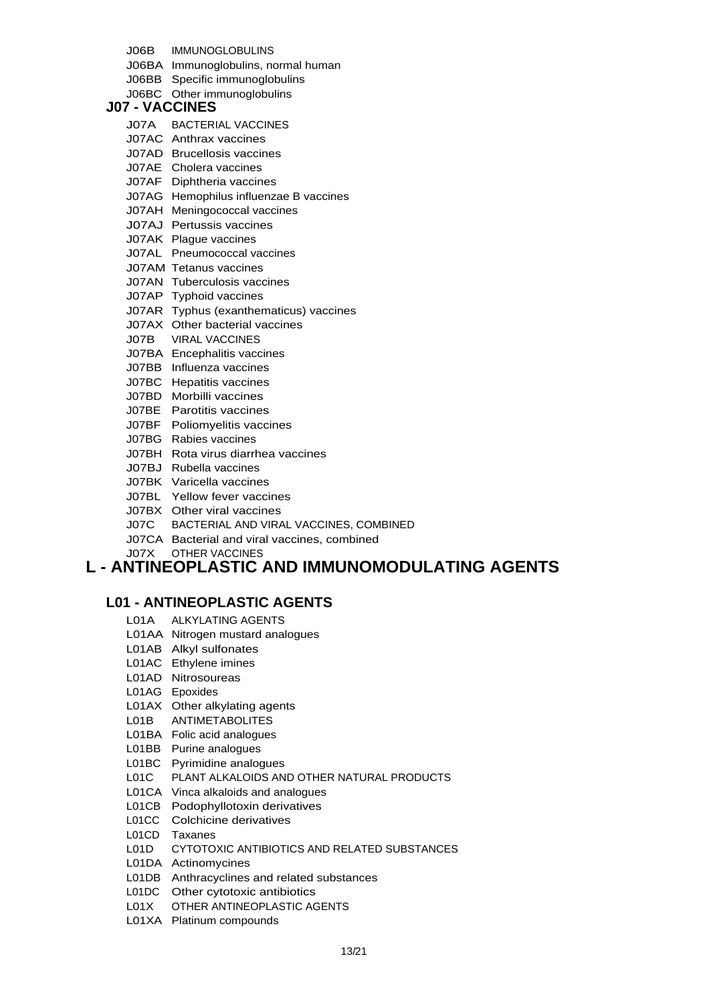J06B IMMUNOGLOBULINS

J06BA Immunoglobulins, normal human

J06BB Specific immunoglobulins

J06BC Other immunoglobulins

#### **J07 - VACCINES**

- J07A BACTERIAL VACCINES
- J07AC Anthrax vaccines
- J07AD Brucellosis vaccines
- J07AE Cholera vaccines
- J07AF Diphtheria vaccines
- J07AG Hemophilus influenzae B vaccines
- J07AH Meningococcal vaccines
- J07AJ Pertussis vaccines
- J07AK Plague vaccines
- J07AL Pneumococcal vaccines
- J07AM Tetanus vaccines
- J07AN Tuberculosis vaccines
- J07AP Typhoid vaccines
- J07AR Typhus (exanthematicus) vaccines
- J07AX Other bacterial vaccines
- J07B VIRAL VACCINES
- J07BA Encephalitis vaccines
- J07BB Influenza vaccines
- J07BC Hepatitis vaccines
- J07BD Morbilli vaccines
- J07BE Parotitis vaccines
- J07BF Poliomyelitis vaccines
- J07BG Rabies vaccines
- J07BH Rota virus diarrhea vaccines
- J07BJ Rubella vaccines
- J07BK Varicella vaccines
- J07BL Yellow fever vaccines
- J07BX Other viral vaccines
- J07C BACTERIAL AND VIRAL VACCINES, COMBINED
- J07CA Bacterial and viral vaccines, combined
- J07X OTHER VACCINES

## **L - ANTINEOPLASTIC AND IMMUNOMODULATING AGENTS**

### **L01 - ANTINEOPLASTIC AGENTS**

- L01A ALKYLATING AGENTS
- L01AA Nitrogen mustard analogues
- L01AB Alkyl sulfonates
- L01AC Ethylene imines
- L01AD Nitrosoureas
- L01AG Epoxides
- L01AX Other alkylating agents
- L01B ANTIMETABOLITES
- L01BA Folic acid analogues
- L01BB Purine analogues
- L01BC Pyrimidine analogues
- L01C PLANT ALKALOIDS AND OTHER NATURAL PRODUCTS
- L01CA Vinca alkaloids and analogues
- L01CB Podophyllotoxin derivatives
- L01CC Colchicine derivatives
- L01CD Taxanes
- L01D CYTOTOXIC ANTIBIOTICS AND RELATED SUBSTANCES
- L01DA Actinomycines
- L01DB Anthracyclines and related substances
- L01DC Other cytotoxic antibiotics
- L01X OTHER ANTINEOPLASTIC AGENTS
- L01XA Platinum compounds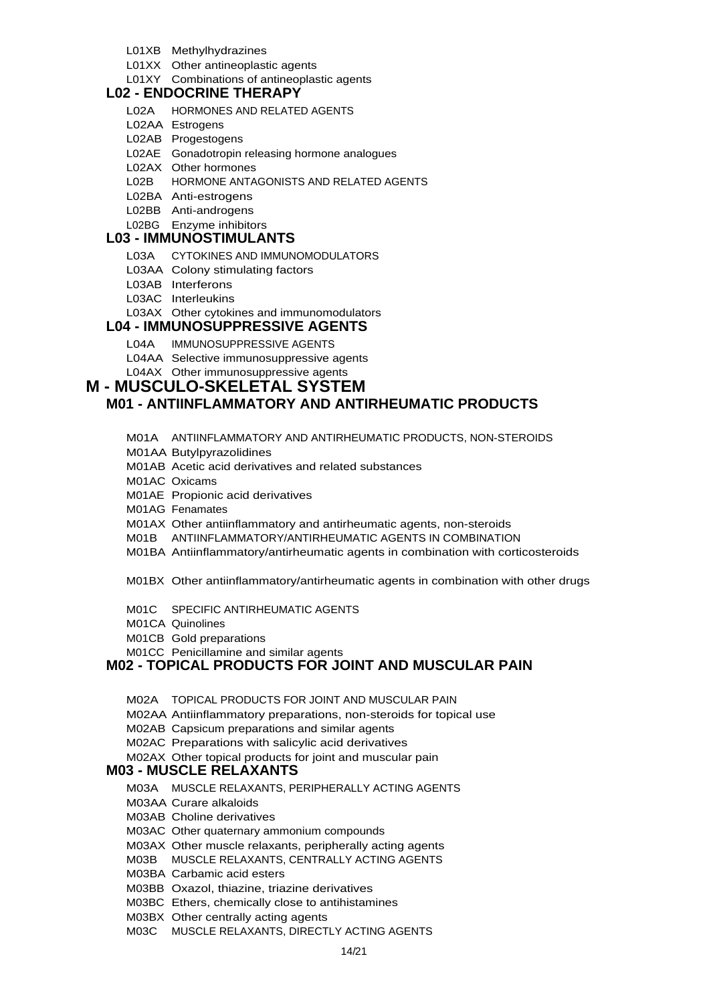- L01XB Methylhydrazines
- L01XX Other antineoplastic agents
- L01XY Combinations of antineoplastic agents

### **L02 - ENDOCRINE THERAPY**

- L02A HORMONES AND RELATED AGENTS
- L02AA Estrogens
- L02AB Progestogens
- L02AE Gonadotropin releasing hormone analogues
- L02AX Other hormones
- L02B HORMONE ANTAGONISTS AND RELATED AGENTS
- L02BA Anti-estrogens
- L02BB Anti-androgens
- L02BG Enzyme inhibitors

### **L03 - IMMUNOSTIMULANTS**

- L03A CYTOKINES AND IMMUNOMODULATORS
- L03AA Colony stimulating factors
- L03AB Interferons
- L03AC Interleukins
- L03AX Other cytokines and immunomodulators

#### **L04 - IMMUNOSUPPRESSIVE AGENTS**

- L04A IMMUNOSUPPRESSIVE AGENTS
- L04AA Selective immunosuppressive agents
- L04AX Other immunosuppressive agents

## **M - MUSCULO-SKELETAL SYSTEM**

### **M01 - ANTIINFLAMMATORY AND ANTIRHEUMATIC PRODUCTS**

- M01A ANTIINFLAMMATORY AND ANTIRHEUMATIC PRODUCTS, NON-STEROIDS
- M01AA Butylpyrazolidines
- M01AB Acetic acid derivatives and related substances
- M01AC Oxicams
- M01AE Propionic acid derivatives
- M01AG Fenamates
- M01AX Other antiinflammatory and antirheumatic agents, non-steroids
- M01B ANTIINFLAMMATORY/ANTIRHEUMATIC AGENTS IN COMBINATION
- M01BA Antiinflammatory/antirheumatic agents in combination with corticosteroids
- M01BX Other antiinflammatory/antirheumatic agents in combination with other drugs
- M01C SPECIFIC ANTIRHEUMATIC AGENTS
- M01CA Quinolines
- M01CB Gold preparations
- M01CC Penicillamine and similar agents

### **M02 - TOPICAL PRODUCTS FOR JOINT AND MUSCULAR PAIN**

- M02A TOPICAL PRODUCTS FOR JOINT AND MUSCULAR PAIN
- M02AA Antiinflammatory preparations, non-steroids for topical use
- M02AB Capsicum preparations and similar agents
- M02AC Preparations with salicylic acid derivatives
- M02AX Other topical products for joint and muscular pain

#### **M03 - MUSCLE RELAXANTS**

- M03A MUSCLE RELAXANTS, PERIPHERALLY ACTING AGENTS
- M03AA Curare alkaloids
- M03AB Choline derivatives
- M03AC Other quaternary ammonium compounds
- M03AX Other muscle relaxants, peripherally acting agents
- M03B MUSCLE RELAXANTS, CENTRALLY ACTING AGENTS
- M03BA Carbamic acid esters
- M03BB Oxazol, thiazine, triazine derivatives
- M03BC Ethers, chemically close to antihistamines
- M03BX Other centrally acting agents
- M03C MUSCLE RELAXANTS, DIRECTLY ACTING AGENTS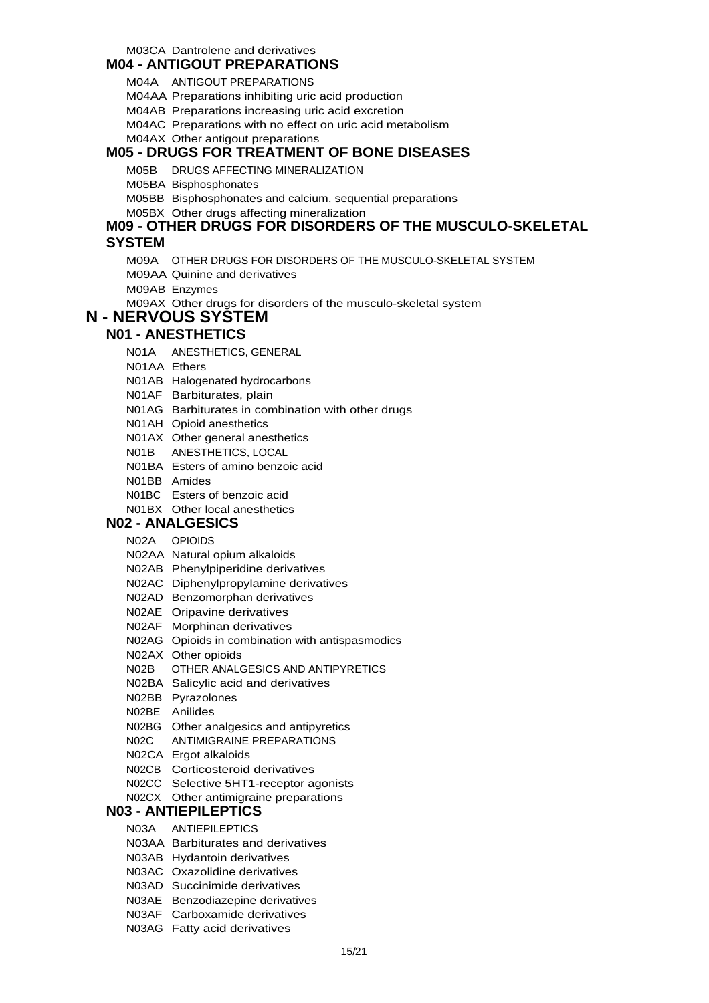## M03CA Dantrolene and derivatives

### **M04 - ANTIGOUT PREPARATIONS**

M04A ANTIGOUT PREPARATIONS

M04AA Preparations inhibiting uric acid production

M04AB Preparations increasing uric acid excretion

M04AC Preparations with no effect on uric acid metabolism

M04AX Other antigout preparations

### **M05 - DRUGS FOR TREATMENT OF BONE DISEASES**

M05B DRUGS AFFECTING MINERALIZATION

M05BA Bisphosphonates

M05BB Bisphosphonates and calcium, sequential preparations

M05BX Other drugs affecting mineralization

#### **M09 - OTHER DRUGS FOR DISORDERS OF THE MUSCULO-SKELETAL**

#### **SYSTEM**

- M09A OTHER DRUGS FOR DISORDERS OF THE MUSCULO-SKELETAL SYSTEM
- M09AA Quinine and derivatives
- M09AB Enzymes

M09AX Other drugs for disorders of the musculo-skeletal system

### **N - NERVOUS SYSTEM**

### **N01 - ANESTHETICS**

- N01A ANESTHETICS, GENERAL
- N01AA Ethers
- N01AB Halogenated hydrocarbons
- N01AF Barbiturates, plain
- N01AG Barbiturates in combination with other drugs
- N01AH Opioid anesthetics
- N01AX Other general anesthetics
- N01B ANESTHETICS, LOCAL
- N01BA Esters of amino benzoic acid
- N01BB Amides
- N01BC Esters of benzoic acid
- N01BX Other local anesthetics

### **N02 - ANALGESICS**

- N02A OPIOIDS
- N02AA Natural opium alkaloids
- N02AB Phenylpiperidine derivatives
- N02AC Diphenylpropylamine derivatives
- N02AD Benzomorphan derivatives
- N02AE Oripavine derivatives
- N02AF Morphinan derivatives
- N02AG Opioids in combination with antispasmodics
- N02AX Other opioids
- N02B OTHER ANALGESICS AND ANTIPYRETICS
- N02BA Salicylic acid and derivatives
- N02BB Pyrazolones
- N02BE Anilides
- N02BG Other analgesics and antipyretics
- N02C ANTIMIGRAINE PREPARATIONS
- N02CA Ergot alkaloids
- N02CB Corticosteroid derivatives
- N02CC Selective 5HT1-receptor agonists
- N02CX Other antimigraine preparations

#### **N03 - ANTIEPILEPTICS**

- N03A ANTIEPILEPTICS
- N03AA Barbiturates and derivatives
- N03AB Hydantoin derivatives
- N03AC Oxazolidine derivatives
- N03AD Succinimide derivatives
- N03AE Benzodiazepine derivatives
- N03AF Carboxamide derivatives
- N03AG Fatty acid derivatives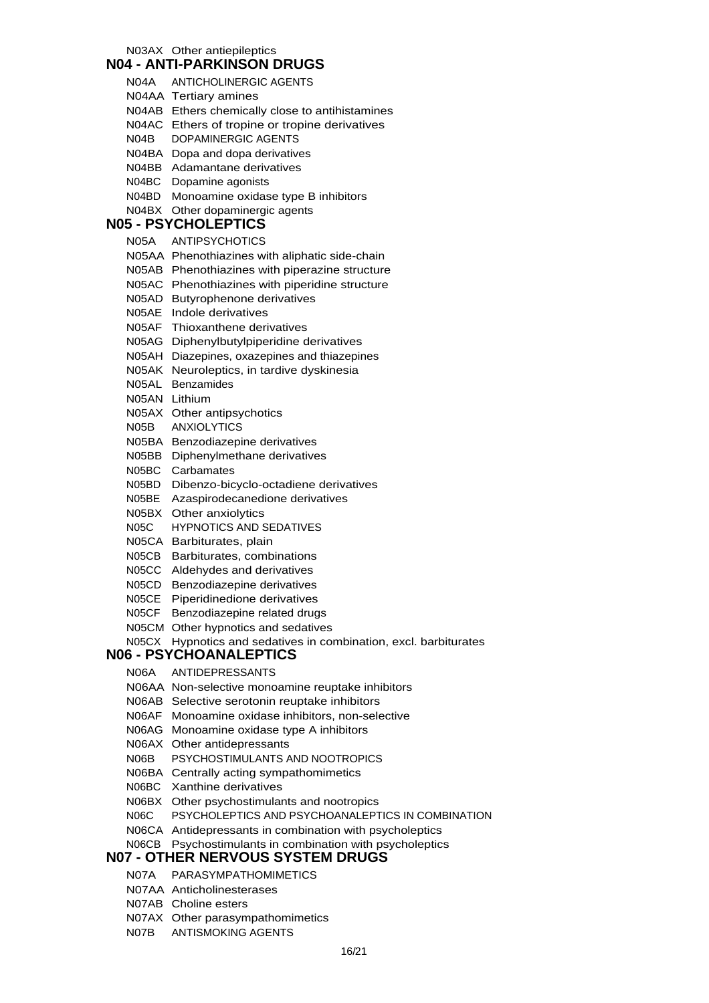N03AX Other antiepileptics

#### **N04 - ANTI-PARKINSON DRUGS**

N04A ANTICHOLINERGIC AGENTS N04AA Tertiary amines N04AB Ethers chemically close to antihistamines N04AC Ethers of tropine or tropine derivatives N04B DOPAMINERGIC AGENTS N04BA Dopa and dopa derivatives N04BB Adamantane derivatives N04BC Dopamine agonists N04BD Monoamine oxidase type B inhibitors N04BX Other dopaminergic agents **N05 - PSYCHOLEPTICS** N05A ANTIPSYCHOTICS N05AA Phenothiazines with aliphatic side-chain N05AB Phenothiazines with piperazine structure N05AC Phenothiazines with piperidine structure N05AD Butyrophenone derivatives N05AE Indole derivatives N05AF Thioxanthene derivatives N05AG Diphenylbutylpiperidine derivatives N05AH Diazepines, oxazepines and thiazepines N05AK Neuroleptics, in tardive dyskinesia N05AL Benzamides N05AN Lithium N05AX Other antipsychotics N05B ANXIOLYTICS N05BA Benzodiazepine derivatives N05BB Diphenylmethane derivatives N05BC Carbamates N05BD Dibenzo-bicyclo-octadiene derivatives N05BE Azaspirodecanedione derivatives N05BX Other anxiolytics N05C HYPNOTICS AND SEDATIVES N05CA Barbiturates, plain N05CB Barbiturates, combinations N05CC Aldehydes and derivatives N05CD Benzodiazepine derivatives N05CE Piperidinedione derivatives N05CF Benzodiazepine related drugs N05CM Other hypnotics and sedatives N05CX Hypnotics and sedatives in combination, excl. barbiturates **N06 - PSYCHOANALEPTICS** N06A ANTIDEPRESSANTS N06AA Non-selective monoamine reuptake inhibitors N06AB Selective serotonin reuptake inhibitors N06AF Monoamine oxidase inhibitors, non-selective N06AG Monoamine oxidase type A inhibitors N06AX Other antidepressants N06B PSYCHOSTIMULANTS AND NOOTROPICS N06BA Centrally acting sympathomimetics N06BC Xanthine derivatives N06BX Other psychostimulants and nootropics N06C PSYCHOLEPTICS AND PSYCHOANALEPTICS IN COMBINATION N06CA Antidepressants in combination with psycholeptics N06CB Psychostimulants in combination with psycholeptics

#### **N07 - OTHER NERVOUS SYSTEM DRUGS**

- N07A PARASYMPATHOMIMETICS
- N07AA Anticholinesterases
- N07AB Choline esters
- N07AX Other parasympathomimetics
- N07B ANTISMOKING AGENTS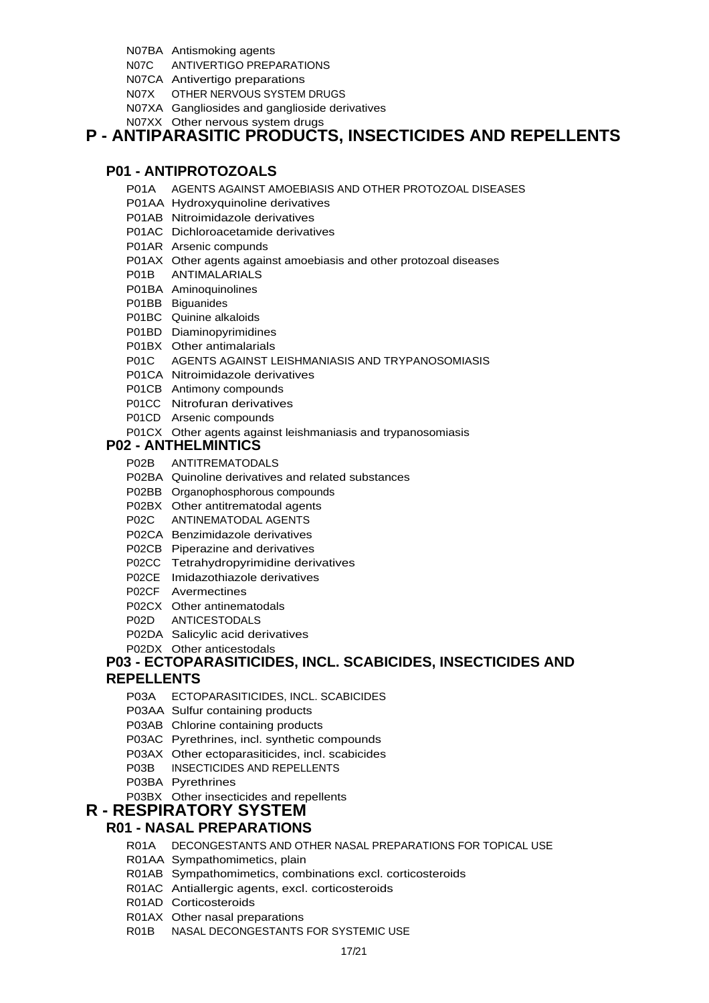- N07BA Antismoking agents
- N07C ANTIVERTIGO PREPARATIONS
- N07CA Antivertigo preparations
- N07X OTHER NERVOUS SYSTEM DRUGS
- N07XA Gangliosides and ganglioside derivatives
- N07XX Other nervous system drugs

## **P - ANTIPARASITIC PRODUCTS, INSECTICIDES AND REPELLENTS**

### **P01 - ANTIPROTOZOALS**

- P01A AGENTS AGAINST AMOEBIASIS AND OTHER PROTOZOAL DISEASES
- P01AA Hydroxyquinoline derivatives
- P01AB Nitroimidazole derivatives
- P01AC Dichloroacetamide derivatives
- P01AR Arsenic compunds
- P01AX Other agents against amoebiasis and other protozoal diseases
- P01B ANTIMALARIALS
- P01BA Aminoquinolines
- P01BB Biguanides
- P01BC Quinine alkaloids
- P01BD Diaminopyrimidines
- P01BX Other antimalarials
- P01C AGENTS AGAINST LEISHMANIASIS AND TRYPANOSOMIASIS
- P01CA Nitroimidazole derivatives
- P01CB Antimony compounds
- P01CC Nitrofuran derivatives
- P01CD Arsenic compounds
- P01CX Other agents against leishmaniasis and trypanosomiasis

### **P02 - ANTHELMINTICS**

- P02B ANTITREMATODALS
- P02BA Quinoline derivatives and related substances
- P02BB Organophosphorous compounds
- P02BX Other antitrematodal agents
- P02C ANTINEMATODAL AGENTS
- P02CA Benzimidazole derivatives
- P02CB Piperazine and derivatives
- P02CC Tetrahydropyrimidine derivatives
- P02CE Imidazothiazole derivatives
- P02CF Avermectines
- P02CX Other antinematodals
- P02D ANTICESTODALS
- P02DA Salicylic acid derivatives
- P02DX Other anticestodals

#### **P03 - ECTOPARASITICIDES, INCL. SCABICIDES, INSECTICIDES AND REPELLENTS**

- P03A ECTOPARASITICIDES, INCL. SCABICIDES
- P03AA Sulfur containing products
- P03AB Chlorine containing products
- P03AC Pyrethrines, incl. synthetic compounds
- P03AX Other ectoparasiticides, incl. scabicides
- P03B INSECTICIDES AND REPELLENTS
- P03BA Pyrethrines
- P03BX Other insecticides and repellents
- **R RESPIRATORY SYSTEM**

## **R01 - NASAL PREPARATIONS**

- R01A DECONGESTANTS AND OTHER NASAL PREPARATIONS FOR TOPICAL USE
- R01AA Sympathomimetics, plain
- R01AB Sympathomimetics, combinations excl. corticosteroids
- R01AC Antiallergic agents, excl. corticosteroids
- R01AD Corticosteroids
- R01AX Other nasal preparations
- R01B NASAL DECONGESTANTS FOR SYSTEMIC USE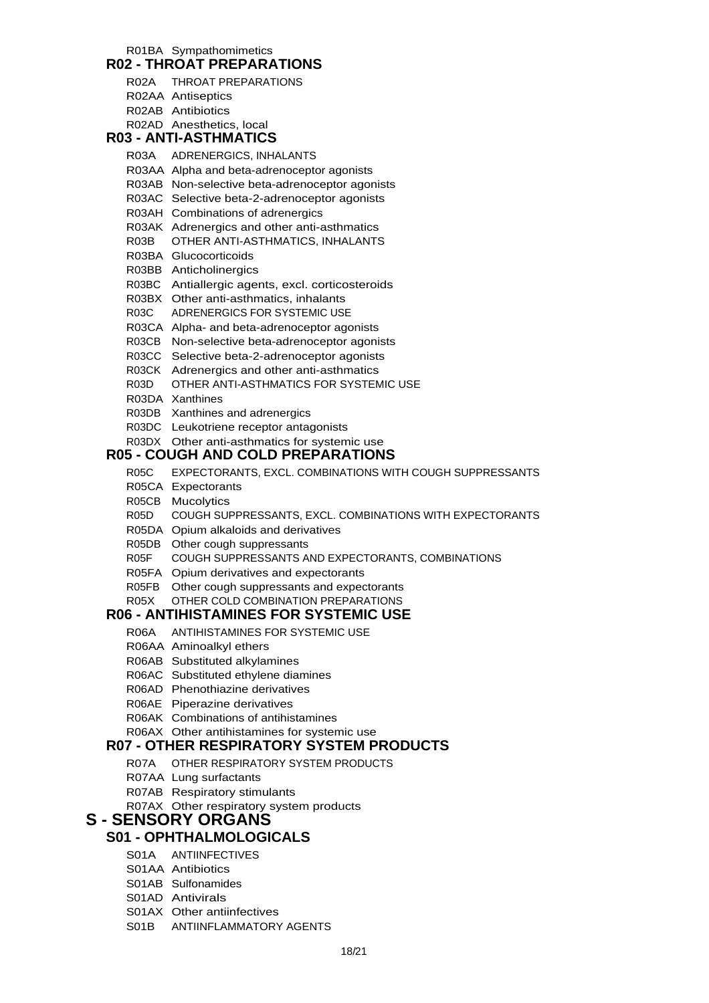## R01BA Sympathomimetics

|  | R02 - THROAT PREPARATIONS |  |
|--|---------------------------|--|
|  |                           |  |

- R02A THROAT PREPARATIONS
- R02AA Antiseptics R02AB Antibiotics
- R02AD Anesthetics, local

### **R03 - ANTI-ASTHMATICS**

- R03A ADRENERGICS, INHALANTS
- R03AA Alpha and beta-adrenoceptor agonists
- R03AB Non-selective beta-adrenoceptor agonists
- R03AC Selective beta-2-adrenoceptor agonists
- R03AH Combinations of adrenergics
- R03AK Adrenergics and other anti-asthmatics
- R03B OTHER ANTI-ASTHMATICS, INHALANTS
- R03BA Glucocorticoids
- R03BB Anticholinergics
- R03BC Antiallergic agents, excl. corticosteroids
- R03BX Other anti-asthmatics, inhalants
- R03C ADRENERGICS FOR SYSTEMIC USE
- R03CA Alpha- and beta-adrenoceptor agonists
- R03CB Non-selective beta-adrenoceptor agonists
- R03CC Selective beta-2-adrenoceptor agonists
- R03CK Adrenergics and other anti-asthmatics
- R03D OTHER ANTI-ASTHMATICS FOR SYSTEMIC USE
- R03DA Xanthines
- R03DB Xanthines and adrenergics
- R03DC Leukotriene receptor antagonists
- R03DX Other anti-asthmatics for systemic use

### **R05 - COUGH AND COLD PREPARATIONS**

- R05C EXPECTORANTS, EXCL. COMBINATIONS WITH COUGH SUPPRESSANTS
- R05CA Expectorants
- R05CB Mucolytics
- R05D COUGH SUPPRESSANTS, EXCL. COMBINATIONS WITH EXPECTORANTS
- R05DA Opium alkaloids and derivatives
- R05DB Other cough suppressants
- R05F COUGH SUPPRESSANTS AND EXPECTORANTS, COMBINATIONS
- R05FA Opium derivatives and expectorants
- R05FB Other cough suppressants and expectorants
- R05X OTHER COLD COMBINATION PREPARATIONS

## **R06 - ANTIHISTAMINES FOR SYSTEMIC USE**

- R06A ANTIHISTAMINES FOR SYSTEMIC USE
- R06AA Aminoalkyl ethers
- R06AB Substituted alkylamines
- R06AC Substituted ethylene diamines
- R06AD Phenothiazine derivatives
- R06AE Piperazine derivatives
- R06AK Combinations of antihistamines
- R06AX Other antihistamines for systemic use

### **R07 - OTHER RESPIRATORY SYSTEM PRODUCTS**

- R07A OTHER RESPIRATORY SYSTEM PRODUCTS
- R07AA Lung surfactants
- R07AB Respiratory stimulants
- R07AX Other respiratory system products

## **S - SENSORY ORGANS**

## **S01 - OPHTHALMOLOGICALS**

- S01A ANTIINFECTIVES
- S01AA Antibiotics
- S01AB Sulfonamides
- S01AD Antivirals
- S01AX Other antiinfectives
- S01B ANTIINFLAMMATORY AGENTS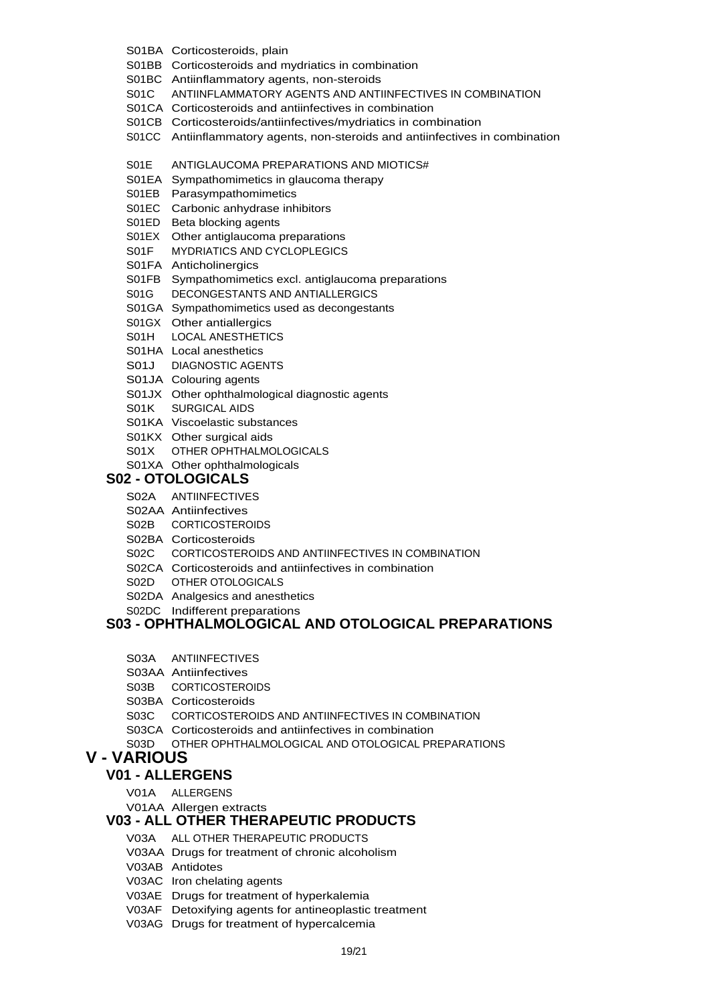- S01BA Corticosteroids, plain
- S01BB Corticosteroids and mydriatics in combination
- S01BC Antiinflammatory agents, non-steroids
- S01C ANTIINFLAMMATORY AGENTS AND ANTIINFECTIVES IN COMBINATION
- S01CA Corticosteroids and antiinfectives in combination
- S01CB Corticosteroids/antiinfectives/mydriatics in combination
- S01CC Antiinflammatory agents, non-steroids and antiinfectives in combination
- S01E ANTIGLAUCOMA PREPARATIONS AND MIOTICS#
- S01EA Sympathomimetics in glaucoma therapy
- S01EB Parasympathomimetics
- S01EC Carbonic anhydrase inhibitors
- S01ED Beta blocking agents
- S01EX Other antiglaucoma preparations
- S01F MYDRIATICS AND CYCLOPLEGICS
- S01FA Anticholinergics
- S01FB Sympathomimetics excl. antiglaucoma preparations
- S01G DECONGESTANTS AND ANTIALLERGICS
- S01GA Sympathomimetics used as decongestants
- S01GX Other antiallergics
- S01H LOCAL ANESTHETICS
- S01HA Local anesthetics
- S01J DIAGNOSTIC AGENTS
- 
- S01JA Colouring agents
- S01JX Other ophthalmological diagnostic agents
- S01K SURGICAL AIDS
- S01KA Viscoelastic substances
- S01KX Other surgical aids
- S01X OTHER OPHTHALMOLOGICALS
- S01XA Other ophthalmologicals

#### **S02 - OTOLOGICALS**

- S02A ANTIINFECTIVES
- S02AA Antiinfectives
- S02B CORTICOSTEROIDS
- 
- S02BA Corticosteroids
- S02C CORTICOSTEROIDS AND ANTIINFECTIVES IN COMBINATION
- S02CA Corticosteroids and antiinfectives in combination
- S02D OTHER OTOLOGICALS
- S02DA Analgesics and anesthetics
- S02DC Indifferent preparations

### **S03 - OPHTHALMOLOGICAL AND OTOLOGICAL PREPARATIONS**

- S03A ANTIINFECTIVES
- S03AA Antiinfectives
- S03B CORTICOSTEROIDS
- S03BA Corticosteroids
- S03C CORTICOSTEROIDS AND ANTIINFECTIVES IN COMBINATION
- S03CA Corticosteroids and antiinfectives in combination
- S03D OTHER OPHTHALMOLOGICAL AND OTOLOGICAL PREPARATIONS

## **V - VARIOUS**

### **V01 - ALLERGENS**

- V01A ALLERGENS
- V01AA Allergen extracts

### **V03 - ALL OTHER THERAPEUTIC PRODUCTS**

- V03A ALL OTHER THERAPEUTIC PRODUCTS
- V03AA Drugs for treatment of chronic alcoholism
- V03AB Antidotes
- V03AC Iron chelating agents
- V03AE Drugs for treatment of hyperkalemia
- V03AF Detoxifying agents for antineoplastic treatment
- V03AG Drugs for treatment of hypercalcemia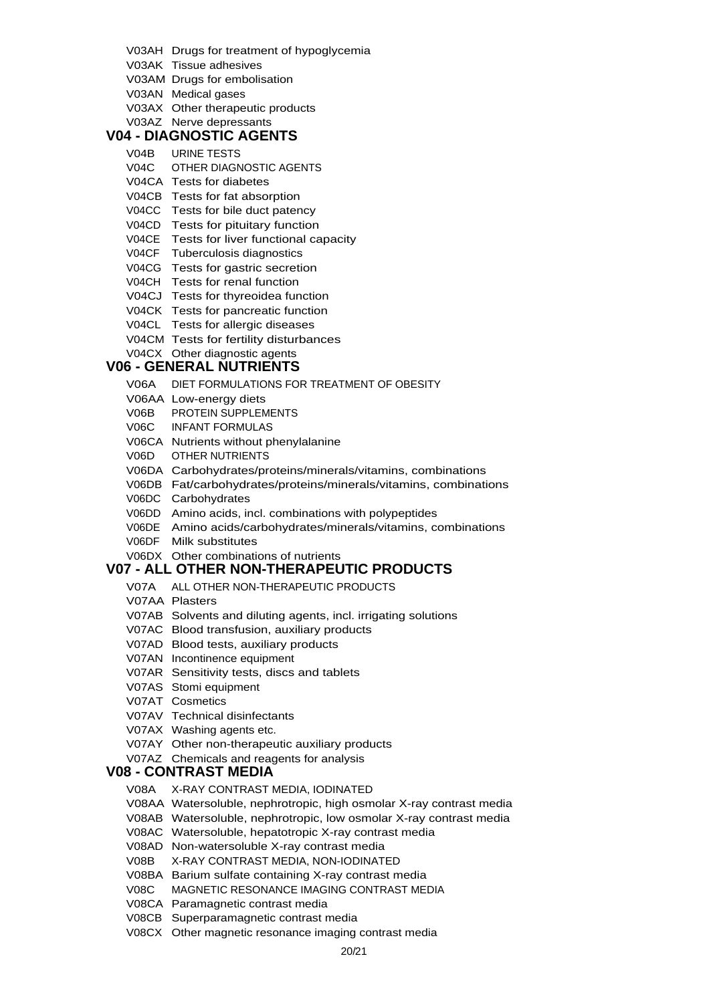- V03AH Drugs for treatment of hypoglycemia
- V03AK Tissue adhesives
- V03AM Drugs for embolisation
- V03AN Medical gases
- V03AX Other therapeutic products

#### V03AZ Nerve depressants **V04 - DIAGNOSTIC AGENTS**

- V04B URINE TESTS
- V04C OTHER DIAGNOSTIC AGENTS
- V04CA Tests for diabetes
- V04CB Tests for fat absorption
- V04CC Tests for bile duct patency
- V04CD Tests for pituitary function
- V04CE Tests for liver functional capacity
- V04CF Tuberculosis diagnostics
- V04CG Tests for gastric secretion
- V04CH Tests for renal function
- V04CJ Tests for thyreoidea function
- V04CK Tests for pancreatic function
- V04CL Tests for allergic diseases
- V04CM Tests for fertility disturbances
- V04CX Other diagnostic agents

## **V06 - GENERAL NUTRIENTS**

- V06A DIET FORMULATIONS FOR TREATMENT OF OBESITY
- V06AA Low-energy diets
- V06B PROTEIN SUPPLEMENTS
- V06C INFANT FORMULAS
- V06CA Nutrients without phenylalanine
- V06D OTHER NUTRIENTS
- V06DA Carbohydrates/proteins/minerals/vitamins, combinations
- V06DB Fat/carbohydrates/proteins/minerals/vitamins, combinations
- V06DC Carbohydrates
- V06DD Amino acids, incl. combinations with polypeptides
- V06DE Amino acids/carbohydrates/minerals/vitamins, combinations V06DF Milk substitutes
- V06DX Other combinations of nutrients

### **V07 - ALL OTHER NON-THERAPEUTIC PRODUCTS**

- V07A ALL OTHER NON-THERAPEUTIC PRODUCTS
- V07AA Plasters
- V07AB Solvents and diluting agents, incl. irrigating solutions
- V07AC Blood transfusion, auxiliary products
- V07AD Blood tests, auxiliary products
- V07AN Incontinence equipment
- V07AR Sensitivity tests, discs and tablets
- V07AS Stomi equipment
- V07AT Cosmetics
- V07AV Technical disinfectants
- V07AX Washing agents etc.
- V07AY Other non-therapeutic auxiliary products
- V07AZ Chemicals and reagents for analysis

#### **V08 - CONTRAST MEDIA**

- V08A X-RAY CONTRAST MEDIA, IODINATED
- V08AA Watersoluble, nephrotropic, high osmolar X-ray contrast media
- V08AB Watersoluble, nephrotropic, low osmolar X-ray contrast media
- V08AC Watersoluble, hepatotropic X-ray contrast media
- V08AD Non-watersoluble X-ray contrast media
- V08B X-RAY CONTRAST MEDIA, NON-IODINATED
- V08BA Barium sulfate containing X-ray contrast media
- V08C MAGNETIC RESONANCE IMAGING CONTRAST MEDIA
- V08CA Paramagnetic contrast media
- V08CB Superparamagnetic contrast media
- V08CX Other magnetic resonance imaging contrast media